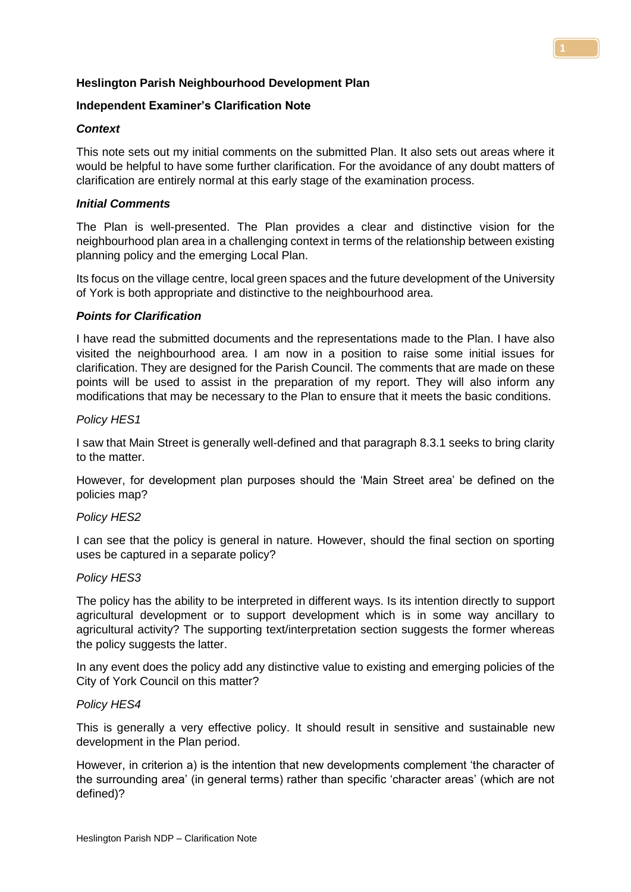# **Heslington Parish Neighbourhood Development Plan**

# **Independent Examiner's Clarification Note**

# *Context*

This note sets out my initial comments on the submitted Plan. It also sets out areas where it would be helpful to have some further clarification. For the avoidance of any doubt matters of clarification are entirely normal at this early stage of the examination process.

# *Initial Comments*

The Plan is well-presented. The Plan provides a clear and distinctive vision for the neighbourhood plan area in a challenging context in terms of the relationship between existing planning policy and the emerging Local Plan.

Its focus on the village centre, local green spaces and the future development of the University of York is both appropriate and distinctive to the neighbourhood area.

# *Points for Clarification*

I have read the submitted documents and the representations made to the Plan. I have also visited the neighbourhood area. I am now in a position to raise some initial issues for clarification. They are designed for the Parish Council. The comments that are made on these points will be used to assist in the preparation of my report. They will also inform any modifications that may be necessary to the Plan to ensure that it meets the basic conditions.

## *Policy HES1*

I saw that Main Street is generally well-defined and that paragraph 8.3.1 seeks to bring clarity to the matter.

However, for development plan purposes should the 'Main Street area' be defined on the policies map?

## *Policy HES2*

I can see that the policy is general in nature. However, should the final section on sporting uses be captured in a separate policy?

## *Policy HES3*

The policy has the ability to be interpreted in different ways. Is its intention directly to support agricultural development or to support development which is in some way ancillary to agricultural activity? The supporting text/interpretation section suggests the former whereas the policy suggests the latter.

In any event does the policy add any distinctive value to existing and emerging policies of the City of York Council on this matter?

## *Policy HES4*

This is generally a very effective policy. It should result in sensitive and sustainable new development in the Plan period.

However, in criterion a) is the intention that new developments complement 'the character of the surrounding area' (in general terms) rather than specific 'character areas' (which are not defined)?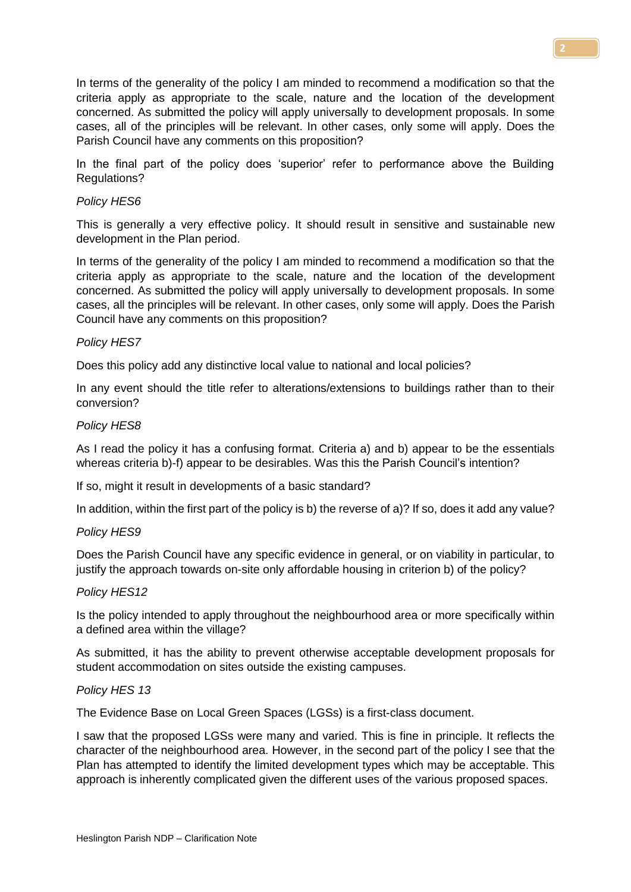In terms of the generality of the policy I am minded to recommend a modification so that the criteria apply as appropriate to the scale, nature and the location of the development concerned. As submitted the policy will apply universally to development proposals. In some cases, all of the principles will be relevant. In other cases, only some will apply. Does the Parish Council have any comments on this proposition?

In the final part of the policy does 'superior' refer to performance above the Building Regulations?

## *Policy HES6*

This is generally a very effective policy. It should result in sensitive and sustainable new development in the Plan period.

In terms of the generality of the policy I am minded to recommend a modification so that the criteria apply as appropriate to the scale, nature and the location of the development concerned. As submitted the policy will apply universally to development proposals. In some cases, all the principles will be relevant. In other cases, only some will apply. Does the Parish Council have any comments on this proposition?

#### *Policy HES7*

Does this policy add any distinctive local value to national and local policies?

In any event should the title refer to alterations/extensions to buildings rather than to their conversion?

#### *Policy HES8*

As I read the policy it has a confusing format. Criteria a) and b) appear to be the essentials whereas criteria b)-f) appear to be desirables. Was this the Parish Council's intention?

If so, might it result in developments of a basic standard?

In addition, within the first part of the policy is b) the reverse of a)? If so, does it add any value?

#### *Policy HES9*

Does the Parish Council have any specific evidence in general, or on viability in particular, to justify the approach towards on-site only affordable housing in criterion b) of the policy?

#### *Policy HES12*

Is the policy intended to apply throughout the neighbourhood area or more specifically within a defined area within the village?

As submitted, it has the ability to prevent otherwise acceptable development proposals for student accommodation on sites outside the existing campuses.

#### *Policy HES 13*

The Evidence Base on Local Green Spaces (LGSs) is a first-class document.

I saw that the proposed LGSs were many and varied. This is fine in principle. It reflects the character of the neighbourhood area. However, in the second part of the policy I see that the Plan has attempted to identify the limited development types which may be acceptable. This approach is inherently complicated given the different uses of the various proposed spaces.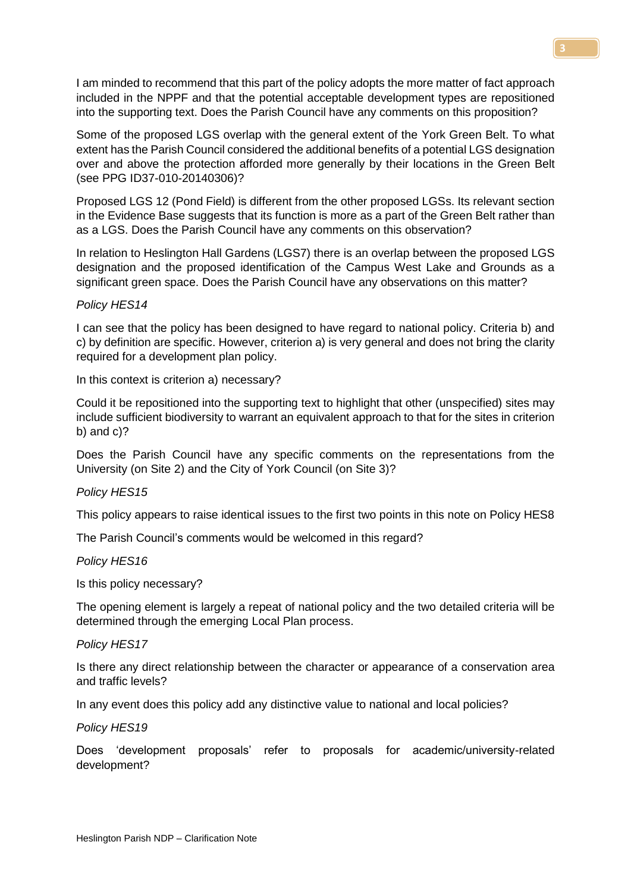I am minded to recommend that this part of the policy adopts the more matter of fact approach included in the NPPF and that the potential acceptable development types are repositioned into the supporting text. Does the Parish Council have any comments on this proposition?

Some of the proposed LGS overlap with the general extent of the York Green Belt. To what extent has the Parish Council considered the additional benefits of a potential LGS designation over and above the protection afforded more generally by their locations in the Green Belt (see PPG ID37-010-20140306)?

Proposed LGS 12 (Pond Field) is different from the other proposed LGSs. Its relevant section in the Evidence Base suggests that its function is more as a part of the Green Belt rather than as a LGS. Does the Parish Council have any comments on this observation?

In relation to Heslington Hall Gardens (LGS7) there is an overlap between the proposed LGS designation and the proposed identification of the Campus West Lake and Grounds as a significant green space. Does the Parish Council have any observations on this matter?

## *Policy HES14*

I can see that the policy has been designed to have regard to national policy. Criteria b) and c) by definition are specific. However, criterion a) is very general and does not bring the clarity required for a development plan policy.

In this context is criterion a) necessary?

Could it be repositioned into the supporting text to highlight that other (unspecified) sites may include sufficient biodiversity to warrant an equivalent approach to that for the sites in criterion b) and c)?

Does the Parish Council have any specific comments on the representations from the University (on Site 2) and the City of York Council (on Site 3)?

#### *Policy HES15*

This policy appears to raise identical issues to the first two points in this note on Policy HES8

The Parish Council's comments would be welcomed in this regard?

#### *Policy HES16*

Is this policy necessary?

The opening element is largely a repeat of national policy and the two detailed criteria will be determined through the emerging Local Plan process.

#### *Policy HES17*

Is there any direct relationship between the character or appearance of a conservation area and traffic levels?

In any event does this policy add any distinctive value to national and local policies?

*Policy HES19*

Does 'development proposals' refer to proposals for academic/university-related development?